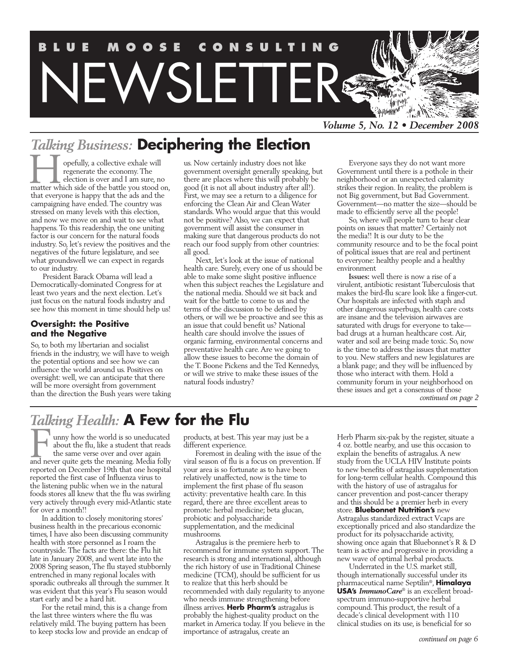

## *Talking Business:* **Deciphering the Election**

opefully, a collective exhale will regenerate the economy. The election is over and I am sure, no **The side of the side of the side of the battle you stood on,** the matter which side of the battle you stood on, that everyone is happy that the ads and the campaigning have ended. The country was stressed on many levels with this election, and now we move on and wait to see what happens. To this readership, the one uniting factor is our concern for the natural foods industry. So, let's review the positives and the negatives of the future legislature, and see what groundswell we can expect in regards to our industry.

President Barack Obama will lead a Democratically-dominated Congress for at least two years and the next election. Let's just focus on the natural foods industry and see how this moment in time should help us!

#### **Oversight: the Positive and the Negative**

So, to both my libertarian and socialist friends in the industry, we will have to weigh the potential options and see how we can influence the world around us. Positives on oversight: well, we can anticipate that there will be more oversight from government than the direction the Bush years were taking us. Now certainly industry does not like government oversight generally speaking, but there are places where this will probably be good (it is not all about industry after all!). First, we may see a return to a diligence for enforcing the Clean Air and Clean Water standards. Who would argue that this would not be positive? Also, we can expect that government will assist the consumer in making sure that dangerous products do not reach our food supply from other countries: all good.

Next, let's look at the issue of national health care. Surely, every one of us should be able to make some slight positive influence when this subject reaches the Legislature and the national media. Should we sit back and wait for the battle to come to us and the terms of the discussion to be defined by others, or will we be proactive and see this as an issue that could benefit us? National health care should involve the issues of organic farming, environmental concerns and preventative health care. Are we going to allow these issues to become the domain of the T. Boone Pickens and the Ted Kennedys, or will we strive to make these issues of the natural foods industry?

Everyone says they do not want more Government until there is a pothole in their neighborhood or an unexpected calamity strikes their region. In reality, the problem is not Big government, but Bad Government. Government—no matter the size—should be made to efficiently serve all the people!

So, where will people turn to hear clear points on issues that matter? Certainly not the media!! It is our duty to be the community resource and to be the focal point of political issues that are real and pertinent to everyone: healthy people and a healthy environment

**Issues:** well there is now a rise of a virulent, antibiotic resistant Tuberculosis that makes the bird-flu scare look like a finger-cut. Our hospitals are infected with staph and other dangerous superbugs, health care costs are insane and the television airwaves are saturated with drugs for everyone to take bad drugs at a human healthcare cost. Air, water and soil are being made toxic. So, now is the time to address the issues that matter to you. New staffers and new legislatures are a blank page; and they will be influenced by those who interact with them. Hold a community forum in your neighborhood on these issues and get a consensus of those *continued on page 2*

## *Talking Health:* **A Few for the Flu**

unny how the world is so uneducated about the flu, like a student that reads the same verse over and over again and never due to be world is so uneducated<br>about the flu, like a student that reads<br>the same verse over and over again<br>and never quite gets the meaning. Media folly reported on December 19th that one hospital reported the first case of Influenza virus to the listening public when we in the natural foods stores all knew that the flu was swirling very actively through every mid-Atlantic state for over a month!!

In addition to closely monitoring stores' business health in the precarious economic times, I have also been discussing community health with store personnel as I roam the countryside. The facts are there: the Flu hit late in January 2008, and went late into the 2008 Spring season, The flu stayed stubbornly entrenched in many regional locales with sporadic outbreaks all through the summer. It was evident that this year's Flu season would start early and be a hard hit.

For the retail mind, this is a change from the last three winters where the flu was relatively mild. The buying pattern has been to keep stocks low and provide an endcap of products, at best. This year may just be a different experience.

Foremost in dealing with the issue of the viral season of flu is a focus on prevention. If your area is so fortunate as to have been relatively unaffected, now is the time to implement the first phase of flu season activity: preventative health care. In this regard, there are three excellent areas to promote: herbal medicine; beta glucan, probiotic and polysaccharide supplementation, and the medicinal mushrooms.

Astragalus is the premiere herb to recommend for immune system support. The research is strong and international, although the rich history of use in Traditional Chinese medicine (TCM), should be sufficient for us to realize that this herb should be recommended with daily regularity to anyone who needs immune strengthening before illness arrives. **Herb Pharm's** astragalus is probably the highest-quality product on the market in America today. If you believe in the importance of astragalus, create an

Herb Pharm six-pak by the register, situate a 4 oz. bottle nearby, and use this occasion to explain the benefits of astragalus. A new study from the UCLA HIV Institute points to new benefits of astragalus supplementation for long-term cellular health. Compound this with the history of use of astragalus for cancer prevention and post-cancer therapy and this should be a premier herb in every store. **Bluebonnet Nutrition's** new Astragalus standardized extract Vcaps are exceptionally priced and also standardize the product for its polysaccharide activity, showing once again that Bluebonnet's R & D team is active and progressive in providing a new wave of optimal herbal products.

Underrated in the U.S. market still, though internationally successful under its pharmaceutical name Septilin®, **Himalaya USA's** *ImmunoCare*® is an excellent broadspectrum immuno-supportive herbal compound. This product, the result of a decade's clinical development with 110 clinical studies on its use, is beneficial for so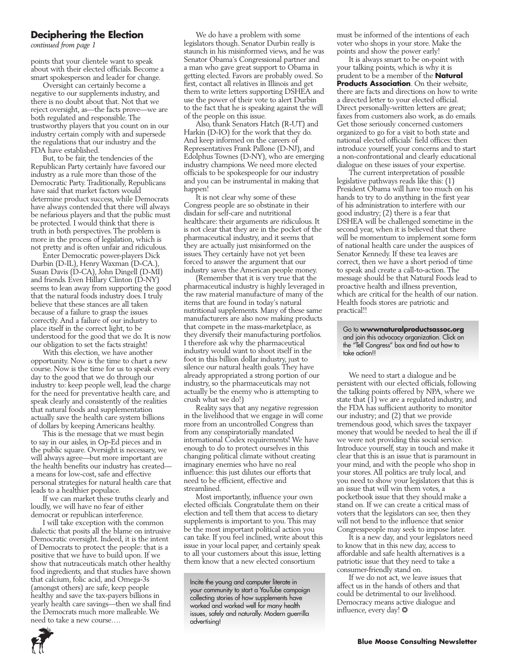#### **Deciphering the Election**

*continued from page 1*

points that your clientele want to speak about with their elected officials. Become a smart spokesperson and leader for change.

Oversight can certainly become a negative to our supplements industry, and there is no doubt about that. Not that we reject oversight, as—the facts prove—we are both regulated and responsible. The trustworthy players that you count on in our industry certain comply with and supersede the regulations that our industry and the FDA have established.

But, to be fair, the tendencies of the Republican Party certainly have favored our industry as a rule more than those of the Democratic Party. Traditionally, Republicans have said that market factors would determine product success, while Democrats have always contended that there will always be nefarious players and that the public must be protected. I would think that there is truth in both perspectives. The problem is more in the process of legislation, which is not pretty and is often unfair and ridiculous.

Enter Democratic power-players Dick Durbin (D-IL), Henry Waxman (D-CA.), Susan Davis (D-CA), John Dingell (D-MI) and friends. Even Hillary Clinton (D-NY) seems to lean away from supporting the good that the natural foods industry does. I truly believe that these stances are all taken because of a failure to grasp the issues correctly. And a failure of our industry to place itself in the correct light, to be understood for the good that we do. It is now our obligation to set the facts straight!

With this election, we have another opportunity. Now is the time to chart a new course. Now is the time for us to speak every day to the good that we do through our industry to: keep people well, lead the charge for the need for preventative health care, and speak clearly and consistently of the realities that natural foods and supplementation actually save the health care system billions of dollars by keeping Americans healthy.

This is the message that we must begin to say in our aisles, in Op-Ed pieces and in the public square. Oversight is necessary, we will always agree—but more important are the health benefits our industry has created a means for low-cost, safe and effective personal strategies for natural health care that leads to a healthier populace.

If we can market these truths clearly and loudly, we will have no fear of either democrat or republican interference.

I will take exception with the common dialectic that posits all the blame on intrusive Democratic oversight. Indeed, it is the intent of Democrats to protect the people: that is a positive that we have to build upon. If we show that nutraceuticals match other healthy food ingredients, and that studies have shown that calcium, folic acid, and Omega-3s (amongst others) are safe, keep people healthy and save the tax-payers billions in yearly health care savings—then we shall find the Democrats much more malleable. We need to take a new course….

We do have a problem with some legislators though. Senator Durbin really is staunch in his misinformed views, and he was Senator Obama's Congressional partner and a man who gave great support to Obama in getting elected. Favors are probably owed. So first, contact all relatives in Illinois and get them to write letters supporting DSHEA and use the power of their vote to alert Durbin to the fact that he is speaking against the will of the people on this issue.

Also, thank Senators Hatch (R-UT) and Harkin (D-IO) for the work that they do. And keep informed on the careers of Representatives Frank Pallone (D-NJ), and Edolphus Townes (D-NY), who are emerging industry champions. We need more elected officials to be spokespeople for our industry and you can be instrumental in making that happen!

It is not clear why some of these Congress people are so obstinate in their disdain for self-care and nutritional healthcare: their arguments are ridiculous. It is not clear that they are in the pocket of the pharmaceutical industry, and it seems that they are actually just misinformed on the issues. They certainly have not yet been forced to answer the argument that our industry saves the American people money.

(Remember that it is very true that the pharmaceutical industry is highly leveraged in the raw material manufacture of many of the items that are found in today's natural nutritional supplements. Many of these same manufacturers are also now making products that compete in the mass-marketplace, as they diversify their manufacturing portfolios. I therefore ask why the pharmaceutical industry would want to shoot itself in the foot in this billion dollar industry, just to silence our natural health goals. They have already appropriated a strong portion of our industry, so the pharmaceuticals may not actually be the enemy who is attempting to crush what we do!)

Reality says that any negative regression in the livelihood that we engage in will come more from an uncontrolled Congress than from any conspiratorially mandated international Codex requirements! We have enough to do to protect ourselves in this changing political climate without creating imaginary enemies who have no real influence: this just dilutes our efforts that need to be efficient, effective and streamlined.

Most importantly, influence your own elected officials. Congratulate them on their election and tell them that access to dietary supplements is important to you. This may be the most important political action you can take. If you feel inclined, write about this issue in your local paper, and certainly speak to all your customers about this issue, letting them know that a new elected consortium

must be informed of the intentions of each voter who shops in your store. Make the points and show the power early!

It is always smart to be on-point with your talking points, which is why it is prudent to be a member of the **Natural Products Association**. On their website, there are facts and directions on how to write a directed letter to your elected official. Direct personally-written letters are great; faxes from customers also work, as do emails. Get those seriously concerned customers organized to go for a visit to both state and national elected officials' field offices: then introduce yourself, your concerns and to start a non-confrontational and clearly educational dialogue on these issues of your expertise.

The current interpretation of possible legislative pathways reads like this: (1) President Obama will have too much on his hands to try to do anything in the first year of his administration to interfere with our good industry; (2) there is a fear that DSHEA will be challenged sometime in the second year, when it is believed that there will be momentum to implement some form of national health care under the auspices of Senator Kennedy. If these tea leaves are correct, then we have a short period of time to speak and create a call-to-action. The message should be that Natural Foods lead to proactive health and illness prevention, which are critical for the health of our nation. Health foods stores are patriotic and practical!!

Go to **wwwnaturalproductsassoc.org** and join this advocacy organization. Click on the "Tell Congress" box and find out how to take action!!

We need to start a dialogue and be persistent with our elected officials, following the talking points offered by NPA, where we state that  $(1)$  we are a regulated industry, and the FDA has sufficient authority to monitor our industry; and (2) that we provide tremendous good, which saves the taxpayer money that would be needed to heal the ill if we were not providing this social service. Introduce yourself, stay in touch and make it clear that this is an issue that is paramount in your mind, and with the people who shop in your stores. All politics are truly local, and you need to show your legislators that this is an issue that will win them votes, a pocketbook issue that they should make a stand on. If we can create a critical mass of voters that the legislators can see, then they will not bend to the influence that senior Congresspeople may seek to impose later.

It is a new day, and your legislators need to know that in this new day, access to affordable and safe health alternatives is a patriotic issue that they need to take a consumer-friendly stand on.

If we do not act, we leave issues that affect us in the hands of others and that could be detrimental to our livelihood. Democracy means active dialogue and influence, every day! ❂



Incite the young and computer literate in your community to start a YouTube campaign collecting stories of how supplements have worked and worked well for many health issues, safely and naturally. Modern guerrilla advertising!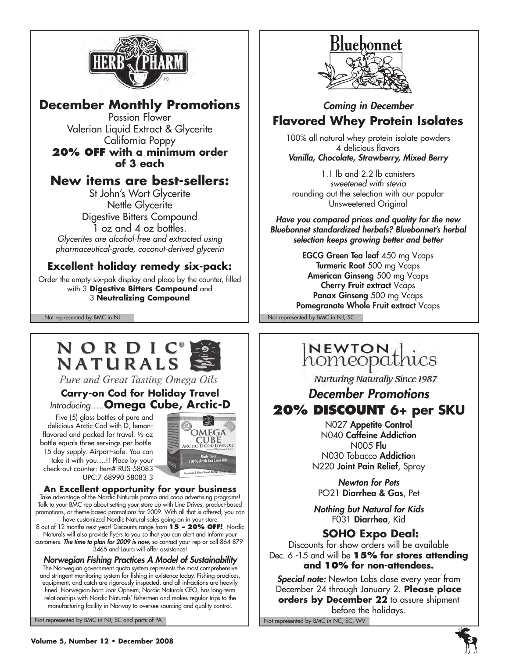

## **December Monthly Promotions**

Passion Flower Valerian Liquid Extract & Glycerite California Poppy

### **20% off with a minimum order of 3 each**

## **New items are best-sellers:**

St John's Wort Glycerite Nettle Glycerite Digestive Bitters Compound 1 oz and 4 oz bottles. *Glycerites are alcohol-free and extracted using pharmaceutical-grade, coconut-derived glycerin*

## **Excellent holiday remedy six-pack:**

Order the empty six-pak display and place by the counter, filled with 3 **Digestive Bitters Compound** and 3 **Neutralizing Compound**

Not represented by BMC in NJ Not represented by BMC in NJ, SC

## NORDIC NATURALS

Pure and Great Tasting Omega Oils

### **Carry-on Cod for Holiday Travel** *Introducing…..***Omega Cube, Arctic-D**

Five (5) glass bottles of pure and delicious Arctic Cod with D, lemonflavored and packed for travel. ½ oz bottle equals three servings per bottle. 15 day supply. Airport-safe. You can take it with you….!! Place by your check-out counter: Item# RUS-58083 UPC:7 68990 58083 3

# OMEGA **CUBE**

**An Excellent opportunity for your business** Take advantage of the Nordic Naturals promo and coop advertising programs! Talk to your BMC rep about setting your store up with Line Drives, product-based promotions, or theme-based promotions for 2009. With all that is offered, you can have customized Nordic Natural sales going on in your store

8 out of 12 months next year! Discounts range from **15 – 20% off!** Nordic Naturals will also provide flyers to you so that you can alert and inform your customers. *The time to plan for 2009 is now,* so contact your rep or call 864-879- 3465 and Laura will offer assistance!

*Norwegian Fishing Practices A Model of Sustainability* The Norwegian government quota system represents the most comprehensive and stringent monitoring system for fishing in existence today. Fishing practices, equipment, and catch are rigorously inspected, and all infractions are heavily fined. Norwegian-born Joar Opheim, Nordic Naturals CEO, has long-term relationships with Nordic Naturals' fishermen and makes regular trips to the manufacturing facility in Norway to oversee sourcing and quality control.

Not represented by BMC in NJ, SC and parts of PA Not represented by BMC in NC, SC, WV



## *Coming in December* **Flavored Whey Protein Isolates**

100% all natural whey protein isolate powders 4 delicious flavors *Vanilla, Chocolate, Strawberry, Mixed Berry*

1.1 lb and 2.2 lb canisters *sweetened with stevia* rounding out the selection with our popular Unsweetened Original

*Have you compared prices and quality for the new Bluebonnet standardized herbals? Bluebonnet's herbal selection keeps growing better and better* 

EGCG Green Tea leaf 450 mg Vcaps Turmeric Root 500 mg Vcaps American Ginseng 500 mg Vcaps Cherry Fruit extract Vcaps Panax Ginseng 500 mg Vcaps Pomegranate Whole Fruit extract Vcaps

## NEWTON, homeopathics

Nurturing Naturally Since 1987

## *December Promotions* **20% Discount 6+ per SKU**

N027 Appetite Control N040 Caffeine Addiction N005 Flu N030 Tobacco Addiction N220 Joint Pain Relief, Spray

*Newton for Pets* PO21 Diarrhea & Gas, Pet

*Nothing but Natural for Kids* F031 Diarrhea, Kid

## **SOHO Expo Deal:**

Discounts for show orders will be available Dec. 6 -15 and will be **15% for stores attending and 10% for non-attendees.**

*Special note:* Newton Labs close every year from December 24 through January 2. **Please place orders by December 22** to assure shipment before the holidays.

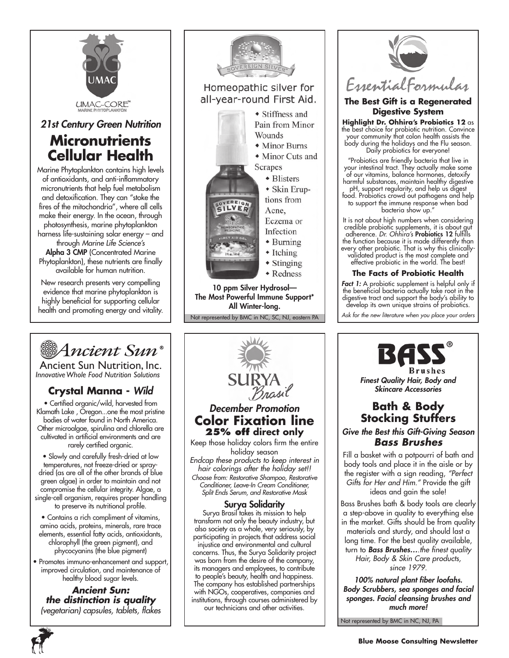

*21st Century Green Nutrition* **Micronutrients Cellular Health**

Marine Phytoplankton contains high levels of antioxidants, and anti-inflammatory micronutrients that help fuel metabolism and detoxification. They can "stoke the fires of the mitochondria", where all cells make their energy. In the ocean, through photosynthesis, marine phytoplankton harness life-sustaining solar energy – and through *Marine Life Science's* Alpha 3 CMP (Concentrated Marine Phytoplankton), these nutrients are finally available for human nutrition.

New research presents very compelling evidence that marine phytoplankton is highly beneficial for supporting cellular health and promoting energy and vitality.

# Ancient Sun®

Ancient Sun Nutrition, Inc. *InnovativeWhole Food Nutrition Solutions*

## **Crystal Manna -** *Wild*

• Certified organic/wild, harvested from Klamath Lake , Oregon...one the most pristine bodies of water found in North America. Other microalgae, spirulina and chlorella are cultivated in artificial environments and are rarely certified organic.

• Slowly and carefully fresh-dried at low temperatures, not freeze-dried or spraydried (as are all of the other brands of blue green algae) in order to maintain and not compromise the cellular integrity. Algae, a single-cell organism, requires proper handling to preserve its nutritional profile.

• Contains a rich compliment of vitamins, amino acids, proteins, minerals, rare trace elements, essential fatty acids, antioxidants, chlorophyll (the green pigment), and phycocyanins (the blue pigment)

• Promotes immuno-enhancement and support, improved circulation, and maintenance of healthy blood sugar levels.

*Ancient Sun: the distinction is quality (vegetarian) capsules, tablets, flakes*



Not represented by BMC in NC, SC, NJ, eastern PA The Most Powerful Immune Support\* All Winter-long.



### *December Promotion* **Color Fixation line 25% off direct only**

Keep those holiday colors firm the entire holiday season *Endcap these products to keep interest in hair colorings after the holiday set!! Choose from: Restorative Shampoo, Restorative Conditioner, Leave-In Cream Conditioner, Split Ends Serum, and Restorative Mask*

#### Surya Solidarity

Surya Brasil takes its mission to help transform not only the beauty industry, but also society as a whole, very seriously, by participating in projects that address social injustice and environmental and cultural concerns. Thus, the Surya Solidarity project was born from the desire of the company, its managers and employees, to contribute to people's beauty, health and happiness. The company has established partnerships with NGOs, cooperatives, companies and institutions, through courses administered by our technicians and other activities.



#### **The Best Gift is a Regenerated Digestive System**

**Highlight Dr. Ohhira's Probiotics 12** as the best choice for probiotic nutrition. Convince your community that colon health assists the body during the holidays and the Flu season. Daily probiotics for everyone!

"Probiotics are friendly bacteria that live in your intestinal tract. They actually make some of our vitamins, balance hormones, detoxify harmful substances, maintain healthy digestive

pH, support regularity, and help us digest food. Probiotics crowd out pathogens and help to support the immune response when bad bacteria show up."

It is not about high numbers when considering credible probiotic supplements, it is about gut adherence. *Dr. Ohhira's* Probiotics 12 fulfills the function because it is made differently than every other probiotic. That is why this clinicallyvalidated product is the most complete and effective probiotic in the world. The best!

#### **The Facts of Probiotic Health**

*Fact 1:* A probiotic supplement is helpful only if the beneficial bacteria actually take root in the digestive tract and support the body's ability to develop its own unique strains of probiotics.

*Ask for the new literature when you place your orders*



**Brushes** *Finest Quality Hair, Body and Skincare Accessories*

## **Bath & Body Stocking Stuffers**

*Give the Best this Gift-Giving Season Bass Brushes*

Fill a basket with a potpourri of bath and body tools and place it in the aisle or by the register with a sign reading, *"Perfect Gifts for Her and Him."* Provide the gift ideas and gain the sale!

Bass Brushes bath & body tools are clearly a step-above in quality to everything else in the market. Gifts should be from quality materials and sturdy, and should last a long time. For the best quality available, turn to *Bass Brushes….the finest quality Hair, Body & Skin Care products, since 1979.*

*100% natural plant fiber loofahs. Body Scrubbers, sea sponges and facial sponges. Facial cleansing brushes and much more!*

Not represented by BMC in NC, NJ, PA

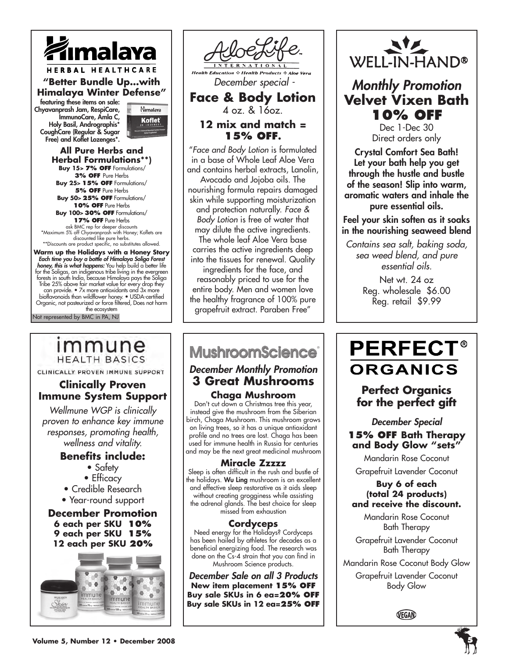

Chyavanprash Jam, RespiCare, ImmunoCare, Amla C, Holy Basil, Andrographis\* CoughCare (Regular & Sugar Free) and Koflet Lozenges\*.



**All Pure Herbs and Herbal Formulations\*\*) Buy 15> 7% off** Formulations/ **3% OFF** Pure Herbs **Buy 25**> **15% off** Formulations/ **5% OFF** Pure Herbs **Buy 50**> **25% off** Formulations/ **10% off** Pure Herbs **Buy 100**> **30% off** Formulations/ **17% off** Pure Herbs ask BMC rep for deeper discounts \*Maximum 5% off Chyavanprash with Honey; Koflets are discounted like pure herbs. \*\*Discounts are product specific, no substitutes allowed.

Not represented by BMC in PA, NJ Warm up the Holidays with a Honey Story<br> *Each time you buy a bottle of Himalaya Soliga Forest<br>
honey, this is what happens: You help build a better life<br>
for the Soligas, an indigenous tribe living in the evergreen<br>
fores* Tribe 25% above fair market value for every drop they can provide. • 7x more antioxidants and 3x more bioflavonoids than wildflower honey. • USDA-certified Organic, not pasteurized or force filtered, Does not harm the ecosystem

## immune **HEALTH BASICS**

CLINICALLY PROVEN IMMUNE SUPPORT

### **Clinically Proven Immune System Support**

*Wellmune WGP is clinically proven to enhance key immune responses, promoting health, wellness and vitality.*

### **Benefits include:**

- Safety
- Efficacy

• Credible Research

• Year-round support

**December Promotion 6 each per SKU 10% 9 each per SKU 15% 12 each per SKU 20%**



 *December special -* **Face & Body Lotion** 4 oz. & 16oz. **12 mix and match = 15% off.** "*Face and Body Lotion* is formulated in a base of Whole Leaf Aloe Vera and contains herbal extracts, Lanolin, Avocado and Jojoba oils. The nourishing formula repairs damaged skin while supporting moisturization and protection naturally. *Face & Body Lotion* is free of water that may dilute the active ingredients. The whole leaf Aloe Vera base carries the active ingredients deep into the tissues for renewal. Quality ingredients for the face, and reasonably priced to use for the entire body. Men and women love

the healthy fragrance of 100% pure grapefruit extract. Paraben Free"

## **MushroomScience**

٦

#### *December Monthly Promotion* **3 Great Mushrooms Chaga Mushroom**

Don't cut down a Christmas tree this year, instead give the mushroom from the Siberian birch, Chaga Mushroom. This mushroom grows on living trees, so it has a unique antioxidant profile and no trees are lost. Chaga has been used for immune health in Russia for centuries and may be the next great medicinal mushroom

#### **Miracle Zzzzz**

Sleep is often difficult in the rush and bustle of the holidays. Wu Ling mushroom is an excellent and effective sleep restorative as it aids sleep without creating grogginess while assisting the adrenal glands. The best choice for sleep missed from exhaustion

#### **Cordyceps**

Need energy for the Holidays? Cordyceps has been hailed by athletes for decades as a beneficial energizing food. The research was done on the Cs-4 strain that you can find in Mushroom Science products.

*December Sale on all 3 Products* **New item placement 15% off Buy sale SKUs in 6 ea=20% off Buy sale SKUs in 12 ea=25% off**



*Monthly Promotion* **Velvet Vixen Bath 10% off**

Dec 1-Dec 30 Direct orders only

Crystal Comfort Sea Bath! Let your bath help you get through the hustle and bustle of the season! Slip into warm, aromatic waters and inhale the pure essential oils.

Feel your skin soften as it soaks in the nourishing seaweed blend

*Contains sea salt, baking soda, sea weed blend, and pure essential oils.*

> Net wt. 24 oz Reg. wholesale \$6.00 Reg. retail \$9.99

## **PERFECT® ORGANICS**

## **Perfect Organics for the perfect gift**

#### *December Special*  **15% off Bath Therapy and Body Glow "sets"**

Mandarin Rose Coconut

Grapefruit Lavender Coconut

#### **Buy 6 of each (total 24 products) and receive the discount.**

Mandarin Rose Coconut Bath Therapy

Grapefruit Lavender Coconut Bath Therapy

Mandarin Rose Coconut Body Glow

Grapefruit Lavender Coconut Body Glow

VEGAN

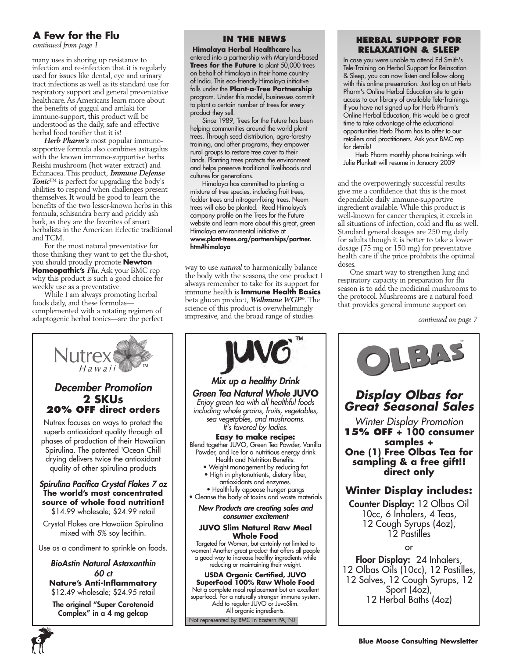## **A Few for the Flu**

*continued from page 1*

many uses in shoring up resistance to infection and re-infection that it is regularly used for issues like dental, eye and urinary tract infections as well as its standard use for respiratory support and general preventative healthcare. As Americans learn more about the benefits of guggul and amlaki for immune-support, this product will be understood as the daily, safe and effective herbal food tonifier that it is!

*Herb Pharm's* most popular immunosupportive formula also combines astragalus with the known immuno-supportive herbs Reishi mushroom (hot water extract) and Echinacea. This product, *Immune Defense Tonic*™ is perfect for upgrading the body's abilities to respond when challenges present themselves. It would be good to learn the benefits of the two lesser-known herbs in this formula, schisandra berry and prickly ash bark, as they are the favorites of smart herbalists in the American Eclectic traditional and TCM.

For the most natural preventative for those thinking they want to get the flu-shot, you should proudly promote **Newton Homeopathic's** *Flu*. Ask your BMC rep why this product is such a good choice for weekly use as a preventative.

While I am always promoting herbal foods daily, and these formulas complemented with a rotating regimen of adaptogenic herbal tonics—are the perfect



#### **In the News**

 **Himalaya Herbal Healthcare** has entered into a partnership with Maryland-based **Trees for the Future** to plant 50,000 trees on behalf of Himalaya in their home country of India. This eco-friendly Himalaya initiative falls under the **Plant-a-Tree Partnership** program. Under this model, businesses commit to plant a certain number of trees for every product they sell.

Since 1989, Trees for the Future has been helping communities around the world plant trees. Through seed distribution, agro-forestry training, and other programs, they empower rural groups to restore tree cover to their lands. Planting trees protects the environment and helps preserve traditional livelihoods and cultures for generations.

Himalaya has committed to planting a mixture of tree species, including fruit trees, fodder trees and nitrogen-fixing trees. Neem trees will also be planted. Read Himalaya's company profile on the Trees for the Future website and learn more about this great, green Himalaya environmental initiative at www.plant-trees.org/partnerships/partner. htm#himalaya

way to use *natural* to harmonically balance the body with the seasons, the one product I always remember to take for its support for immune health is **Immune Health Basics**  beta glucan product, *Wellmune WGP*®. The science of this product is overwhelmingly impressive, and the broad range of studies

#### **Herbal Support for Relaxation & Sleep**

In case you were unable to attend Ed Smith's Tele-Training on Herbal Support for Relaxation & Sleep, you can now listen and follow along with this online presentation. Just log on at Herb Pharm's Online Herbal Education site to gain access to our library of available Tele-Trainings. If you have not signed up for Herb Pharm's Online Herbal Education, this would be a great time to take advantage of the educational opportunities Herb Pharm has to offer to our retailers and practitioners. Ask your BMC rep for details!

Herb Pharm monthly phone trainings with Julie Plunkett will resume in January 2009

and the overpoweringly successful results give me a confidence that this is the most dependable daily immune-supportive ingredient available. While this product is well-known for cancer therapies, it excels in all situations of infection, cold and flu as well. Standard general dosages are 250 mg daily for adults though it is better to take a lower dosage (75 mg or 150 mg) for preventative health care if the price prohibits the optimal doses.

One smart way to strengthen lung and respiratory capacity in preparation for flu season is to add the medicinal mushrooms to the protocol. Mushrooms are a natural food that provides general immune support on

*continued on page 7*



Not represented by BMC in Eastern PA, NJ

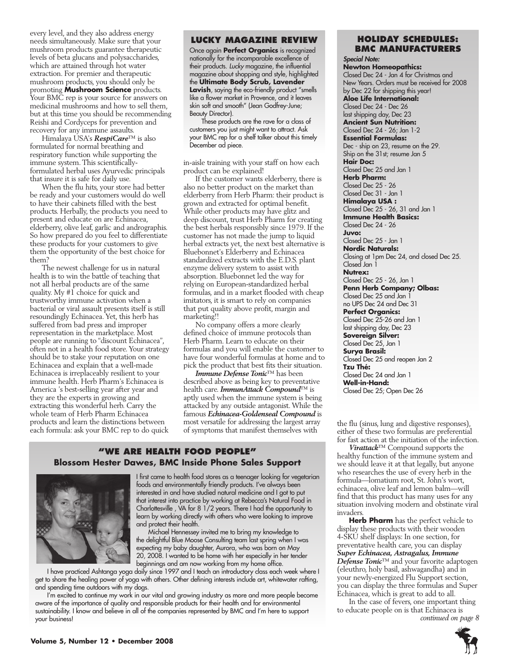every level, and they also address energy needs simultaneously. Make sure that your mushroom products guarantee therapeutic levels of beta glucans and polysaccharides, which are attained through hot water extraction. For premier and therapeutic mushroom products, you should only be promoting **Mushroom Science** products. Your BMC rep is your source for answers on medicinal mushrooms and how to sell them, but at this time you should be recommending Reishi and Cordyceps for prevention and recovery for any immune assaults.

Himalaya USA's *RespiCare*™ is also formulated for normal breathing and respiratory function while supporting the immune system. This scientificallyformulated herbal uses Ayurvedic principals that insure it is safe for daily use.

When the flu hits, your store had better be ready and your customers would do well to have their cabinets filled with the best products. Herbally, the products you need to present and educate on are Echinacea, elderberry, olive leaf, garlic and andrographis. So how prepared do you feel to differentiate these products for your customers to give them the opportunity of the best choice for them?

The newest challenge for us in natural health is to win the battle of teaching that not all herbal products are of the same quality. My #1 choice for quick and trustworthy immune activation when a bacterial or viral assault presents itself is still resoundingly Echinacea. Yet, this herb has suffered from bad press and improper representation in the marketplace. Most people are running to "discount Echinacea", often not in a health food store. Your strategy should be to stake your reputation on one Echinacea and explain that a well-made Echinacea is irreplaceably resilient to your immune health. Herb Pharm's Echinacea is America 's best-selling year after year and they are the experts in growing and extracting this wonderful herb. Carry the whole team of Herb Pharm Echinacea products and learn the distinctions between each formula: ask your BMC rep to do quick

#### **Lucky Magazine Review**

Once again **Perfect Organics** is recognized nationally for the incomparable excellence of their products. *Lucky* magazine, the influential magazine about shopping and style, highlighted the **Ultimate Body Scrub, Lavender Lavish**, saying the eco-friendly product "smells like a flower market in Provence, and it leaves skin soft and smooth" (Jean Godfrey-June; Beauty Director).

These products are the rave for a class of customers you just might want to attract. Ask your BMC rep for a shelf talker about this timely December ad piece.

in-aisle training with your staff on how each product can be explained!

If the customer wants elderberry, there is also no better product on the market than elderberry from Herb Pharm: their product is grown and extracted for optimal benefit. While other products may have glitz and deep discount, trust Herb Pharm for creating the best herbals responsibly since 1979. If the customer has not made the jump to liquid herbal extracts yet, the next best alternative is Bluebonnet's Elderberry and Echinacea standardized extracts with the E.D.S. plant enzyme delivery system to assist with absorption. Bluebonnet led the way for relying on European-standardized herbal formulas, and in a market flooded with cheap imitators, it is smart to rely on companies that put quality above profit, margin and marketing!!

No company offers a more clearly defined choice of immune protocols than Herb Pharm. Learn to educate on their formulas and you will enable the customer to have four wonderful formulas at home and to pick the product that best fits their situation.

*Immune Defense Tonic*™ has been described above as being key to preventative health care. *ImmunAttack Compound*™ is aptly used when the immune system is being attacked by any outside antagonist. While the famous *Echinacea-Goldenseal Compound* is most versatile for addressing the largest array most versatile for addressing the largest array the flu (sinus, lung and digestive responses), of symptoms that manifest themselves with either of these two formulas are preferential

#### **"We Are health food people" Blossom Hester Dawes, BMC Inside Phone Sales Support**



I first came to health food stores as a teenager looking for vegetarian foods and environmentally friendly products. I've always been interested in and have studied natural medicine and I got to put that interest into practice by working at Rebecca's Natural Food in Charlottesville , VA for 8 1/2 years. There I had the opportunity to learn by working directly with others who were looking to improve and protect their health.

Michael Hennessey invited me to bring my knowledge to the delightful Blue Moose Consulting team last spring when I was expecting my baby daughter, Aurora, who was born on May 20, 2008. I wanted to be home with her especially in her tender beginnings and am now working from my home office.

I have practiced Ashtanga yoga daily since 1997 and I teach an introductory class each week where I get to share the healing power of yoga with others. Other defining interests include art, whitewater rafting, and spending time outdoors with my dogs.

I'm excited to continue my work in our vital and growing industry as more and more people become aware of the importance of quality and responsible products for their health and for environmental sustainability. I know and believe in all of the companies represented by BMC and I'm here to support your business!

#### **Holiday Schedules: BMC Manufacturers**

*Special Note:* **Newton Homeopathics:**  Closed Dec 24 - Jan 4 for Christmas and New Years. Orders must be received for 2008 by Dec 22 for shipping this year! **Aloe Life International:** Closed Dec 24 - Dec 26 last shipping day, Dec 23 **Ancient Sun Nutrition:** Closed Dec 24 - 26; Jan 1-2 **Essential Formulas:** Dec - ship on 23, resume on the 29. Ship on the 31st; resume Jan 5 **Hair Doc:** Closed Dec 25 and Jan 1 **Herb Pharm:** Closed Dec 25 - 26 Closed Dec 31 - Jan 1 **Himalaya USA :** Closed Dec 25 - 26, 31 and Jan 1 **Immune Health Basics:** Closed Dec 24 - 26 **Juvo:** Closed Dec 25 - Jan 1 **Nordic Naturals:** Closing at 1pm Dec 24, and closed Dec 25. Closed Jan 1 **Nutrex:** Closed Dec 25 - 26, Jan 1 **Penn Herb Company; Olbas:** Closed Dec 25 and Jan 1 no UPS Dec 24 and Dec 31 **Perfect Organics:** Closed Dec 25-26 and Jan 1 last shipping day, Dec 23 **Sovereign Silver:** Closed Dec 25, Jan 1 **Surya Brasil:** Closed Dec 25 and reopen Jan 2 **Tzu Thé:** Closed Dec 24 and Jan 1 **Well-in-Hand:** Closed Dec 25; Open Dec 26

either of these two formulas are preferential for fast action at the initiation of the infection.

*Virattack*™ Compound supports the healthy function of the immune system and we should leave it at that legally, but anyone who researches the use of every herb in the formula—lomatium root, St. John's wort, echinacea, olive leaf and lemon balm—will find that this product has many uses for any situation involving modern and obstinate viral invaders.

**Herb Pharm** has the perfect vehicle to display these products with their wooden 4-SKU shelf displays: In one section, for preventative health care, you can display *Super Echinacea, Astragalus, Immune Defense Tonic*™ and your favorite adaptogen (eleuthro, holy basil, ashwagandha) and in your newly-energized Flu Support section, you can display the three formulas and Super Echinacea, which is great to add to all.

In the case of fevers, one important thing to educate people on is that Echinacea is *continued on page 8*